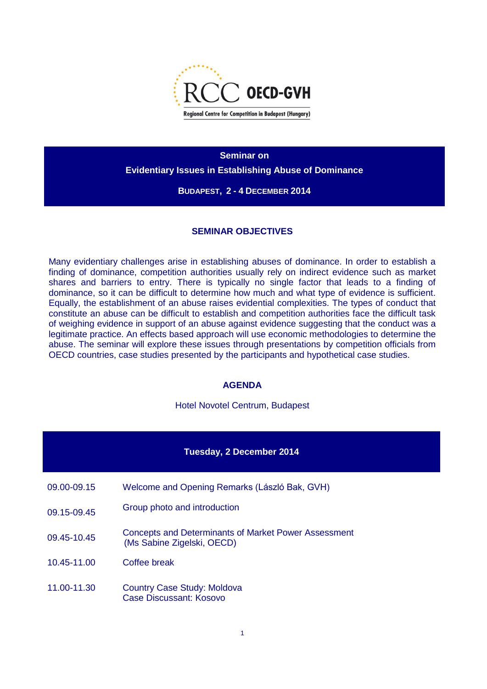

**Seminar on Evidentiary Issues in Establishing Abuse of Dominance**

**BUDAPEST, 2 - 4 DECEMBER 2014**

## **SEMINAR OBJECTIVES**

Many evidentiary challenges arise in establishing abuses of dominance. In order to establish a finding of dominance, competition authorities usually rely on indirect evidence such as market shares and barriers to entry. There is typically no single factor that leads to a finding of dominance, so it can be difficult to determine how much and what type of evidence is sufficient. Equally, the establishment of an abuse raises evidential complexities. The types of conduct that constitute an abuse can be difficult to establish and competition authorities face the difficult task of weighing evidence in support of an abuse against evidence suggesting that the conduct was a legitimate practice. An effects based approach will use economic methodologies to determine the abuse. The seminar will explore these issues through presentations by competition officials from OECD countries, case studies presented by the participants and hypothetical case studies.

## **AGENDA**

Hotel Novotel Centrum, Budapest

## **Tuesday, 2 December 2014**

- 09.00-09.15 Welcome and Opening Remarks (László Bak, GVH)
- 09.15-09.45 Group photo and introduction
- 09.45-10.45 Concepts and Determinants of Market Power Assessment (Ms Sabine Zigelski, OECD)
- 10.45-11.00 Coffee break
- 11.00-11.30 Country Case Study: Moldova Case Discussant: Kosovo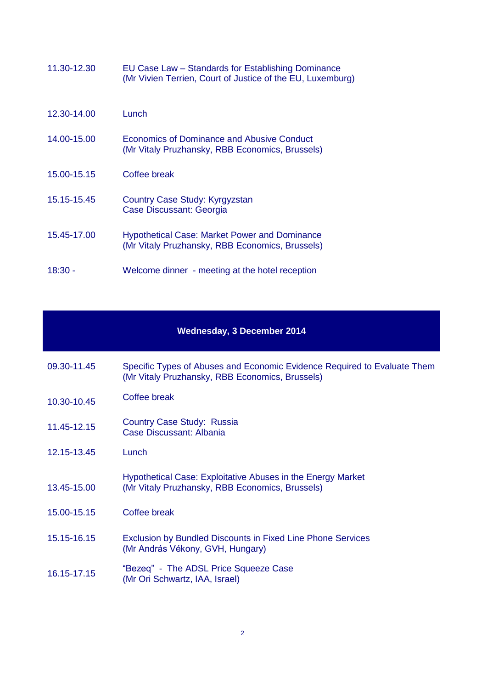| 11.30-12.30 | EU Case Law - Standards for Establishing Dominance<br>(Mr Vivien Terrien, Court of Justice of the EU, Luxemburg) |
|-------------|------------------------------------------------------------------------------------------------------------------|
| 12.30-14.00 | Lunch                                                                                                            |
| 14.00-15.00 | Economics of Dominance and Abusive Conduct<br>(Mr Vitaly Pruzhansky, RBB Economics, Brussels)                    |
| 15.00-15.15 | Coffee break                                                                                                     |
| 15.15-15.45 | Country Case Study: Kyrgyzstan<br>Case Discussant: Georgia                                                       |
| 15.45-17.00 | <b>Hypothetical Case: Market Power and Dominance</b><br>(Mr Vitaly Pruzhansky, RBB Economics, Brussels)          |
| 18:30 -     | Welcome dinner - meeting at the hotel reception                                                                  |

## **Wednesday, 3 December 2014**

| 09.30-11.45 | Specific Types of Abuses and Economic Evidence Required to Evaluate Them |
|-------------|--------------------------------------------------------------------------|
|             | (Mr Vitaly Pruzhansky, RBB Economics, Brussels)                          |

- 10.30-10.45 Coffee break
- 11.45-12.15 Country Case Study: Russia Case Discussant: Albania
- 12.15-13.45 Lunch
- 13.45-15.00 Hypothetical Case: Exploitative Abuses in the Energy Market (Mr Vitaly Pruzhansky, RBB Economics, Brussels)
- 15.00-15.15 Coffee break
- 15.15-16.15 Exclusion by Bundled Discounts in Fixed Line Phone Services (Mr András Vékony, GVH, Hungary)
- 16.15-17.15 "Bezeq" The ADSL Price Squeeze Case (Mr Ori Schwartz, IAA, Israel)